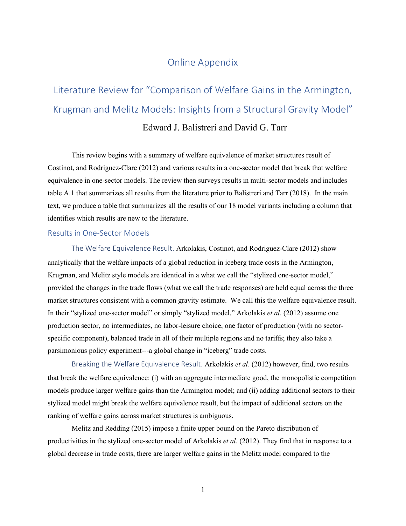# Online Appendix

# Literature Review for "Comparison of Welfare Gains in the Armington, Krugman and Melitz Models: Insights from a Structural Gravity Model"

### Edward J. Balistreri and David G. Tarr

This review begins with a summary of welfare equivalence of market structures result of Costinot, and Rodriguez-Clare (2012) and various results in a one-sector model that break that welfare equivalence in one-sector models. The review then surveys results in multi-sector models and includes table A.1 that summarizes all results from the literature prior to Balistreri and Tarr (2018). In the main text, we produce a table that summarizes all the results of our 18 model variants including a column that identifies which results are new to the literature.

#### Results in One-Sector Models

The Welfare Equivalence Result. Arkolakis, Costinot, and Rodriguez-Clare (2012) show analytically that the welfare impacts of a global reduction in iceberg trade costs in the Armington, Krugman, and Melitz style models are identical in a what we call the "stylized one-sector model," provided the changes in the trade flows (what we call the trade responses) are held equal across the three market structures consistent with a common gravity estimate. We call this the welfare equivalence result. In their "stylized one-sector model" or simply "stylized model," Arkolakis *et al*. (2012) assume one production sector, no intermediates, no labor-leisure choice, one factor of production (with no sectorspecific component), balanced trade in all of their multiple regions and no tariffs; they also take a parsimonious policy experiment---a global change in "iceberg" trade costs.

Breaking the Welfare Equivalence Result. Arkolakis *et al*. (2012) however, find, two results that break the welfare equivalence: (i) with an aggregate intermediate good, the monopolistic competition models produce larger welfare gains than the Armington model; and (ii) adding additional sectors to their stylized model might break the welfare equivalence result, but the impact of additional sectors on the ranking of welfare gains across market structures is ambiguous.

Melitz and Redding (2015) impose a finite upper bound on the Pareto distribution of productivities in the stylized one-sector model of Arkolakis *et al*. (2012). They find that in response to a global decrease in trade costs, there are larger welfare gains in the Melitz model compared to the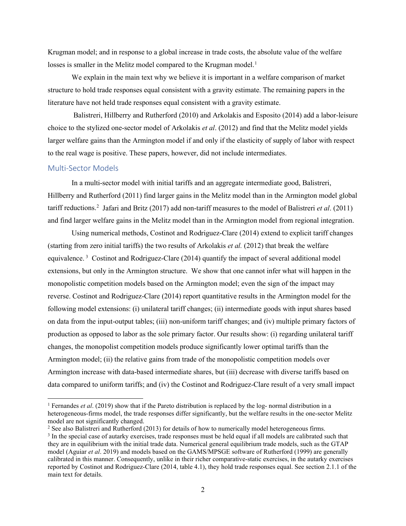Krugman model; and in response to a global increase in trade costs, the absolute value of the welfare losses is smaller in the Melitz model compared to the Krugman model.<sup>[1](#page-1-0)</sup>

We explain in the main text why we believe it is important in a welfare comparison of market structure to hold trade responses equal consistent with a gravity estimate. The remaining papers in the literature have not held trade responses equal consistent with a gravity estimate.

Balistreri, Hillberry and Rutherford (2010) and Arkolakis and Esposito (2014) add a labor-leisure choice to the stylized one-sector model of Arkolakis *et al*. (2012) and find that the Melitz model yields larger welfare gains than the Armington model if and only if the elasticity of supply of labor with respect to the real wage is positive. These papers, however, did not include intermediates.

#### Multi-Sector Models

In a multi-sector model with initial tariffs and an aggregate intermediate good, Balistreri, Hillberry and Rutherford (2011) find larger gains in the Melitz model than in the Armington model global tariff reductions. [2](#page-1-1) Jafari and Britz (2017) add non-tariff measures to the model of Balistreri *et al*. (2011) and find larger welfare gains in the Melitz model than in the Armington model from regional integration.

Using numerical methods, Costinot and Rodriguez-Clare (2014) extend to explicit tariff changes (starting from zero initial tariffs) the two results of Arkolakis *et al.* (2012) that break the welfare equivalence.<sup>[3](#page-1-2)</sup> Costinot and Rodriguez-Clare (2014) quantify the impact of several additional model extensions, but only in the Armington structure. We show that one cannot infer what will happen in the monopolistic competition models based on the Armington model; even the sign of the impact may reverse. Costinot and Rodriguez-Clare (2014) report quantitative results in the Armington model for the following model extensions: (i) unilateral tariff changes; (ii) intermediate goods with input shares based on data from the input-output tables; (iii) non-uniform tariff changes; and (iv) multiple primary factors of production as opposed to labor as the sole primary factor. Our results show: (i) regarding unilateral tariff changes, the monopolist competition models produce significantly lower optimal tariffs than the Armington model; (ii) the relative gains from trade of the monopolistic competition models over Armington increase with data-based intermediate shares, but (iii) decrease with diverse tariffs based on data compared to uniform tariffs; and (iv) the Costinot and Rodriguez-Clare result of a very small impact

<span id="page-1-0"></span><sup>&</sup>lt;sup>1</sup> Fernandes *et al.* (2019) show that if the Pareto distribution is replaced by the log- normal distribution in a heterogeneous-firms model, the trade responses differ significantly, but the welfare results in the one-sector Melitz model are not significantly changed.<br><sup>2</sup> See also Balistreri and Rutherford (2013) for details of how to numerically model heterogeneous firms.

<span id="page-1-2"></span><span id="page-1-1"></span> $3$  In the special case of autarky exercises, trade responses must be held equal if all models are calibrated such that they are in equilibrium with the initial trade data. Numerical general equilibrium trade models, such as the GTAP model (Aguiar *et al*. 2019) and models based on the GAMS/MPSGE software of Rutherford (1999) are generally calibrated in this manner. Consequently, unlike in their richer comparative-static exercises, in the autarky exercises reported by Costinot and Rodriguez-Clare (2014, table 4.1), they hold trade responses equal. See section 2.1.1 of the main text for details.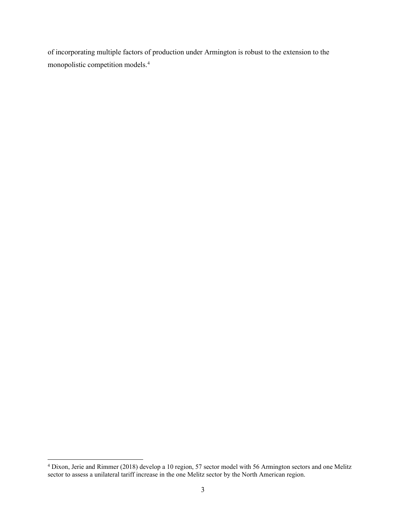of incorporating multiple factors of production under Armington is robust to the extension to the monopolistic competition models[.4](#page-2-0)

<span id="page-2-0"></span><sup>&</sup>lt;sup>4</sup> Dixon, Jerie and Rimmer (2018) develop a 10 region, 57 sector model with 56 Armington sectors and one Melitz sector to assess a unilateral tariff increase in the one Melitz sector by the North American region.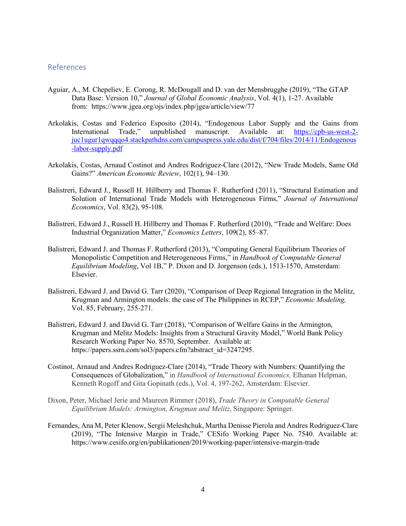#### References

- Aguiar, A., M. Chepeliev, E. Corong, R. McDougall and D. van der Mensbrugghe (2019), "The GTAP Data Base: Version 10," *Journal of Global Economic Analysis*, Vol. 4(1), 1-27. Available from: [https://www.jgea.org/ojs/index.php/jgea/article/view/77](https://jgea.org/ojs/index.php/jgea/article/view/77)
- Arkolakis, Costas and Federico Esposito (2014), "Endogenous Labor Supply and the Gains from International Trade," unpublished manuscript. Available at: [https://cpb-us-west-2](https://cpb-us-west-2-juc1ugur1qwqqqo4.stackpathdns.com/campuspress.yale.edu/dist/f/704/files/2014/11/Endogenous-labor-supply.pdf) [juc1ugur1qwqqqo4.stackpathdns.com/campuspress.yale.edu/dist/f/704/files/2014/11/Endogenous](https://cpb-us-west-2-juc1ugur1qwqqqo4.stackpathdns.com/campuspress.yale.edu/dist/f/704/files/2014/11/Endogenous-labor-supply.pdf) [-labor-supply.pdf](https://cpb-us-west-2-juc1ugur1qwqqqo4.stackpathdns.com/campuspress.yale.edu/dist/f/704/files/2014/11/Endogenous-labor-supply.pdf)
- Arkolakis, Costas, Arnaud Costinot and Andres Rodriguez-Clare (2012), "New Trade Models, Same Old Gains?" *American Economic Review*, 102(1), 94–130.
- Balistreri, Edward J., Russell H. Hillberry and Thomas F. Rutherford (2011), "Structural Estimation and Solution of International Trade Models with Heterogeneous Firms," *[Journal of International](http://www.elsevier.com/wps/find/journaldescription.cws_home/505552/description#description)  [Economics](http://www.elsevier.com/wps/find/journaldescription.cws_home/505552/description#description)*, Vol. 83(2), 95-108.
- Balistreri, Edward J., Russell H. Hillberry and Thomas F. Rutherford (2010), "Trade and Welfare: Does Industrial Organization Matter," *Economics Letters*, 109(2), 85–87.
- Balistreri, Edward J. and Thomas F. Rutherford (2013), "Computing General Equilibrium Theories of Monopolistic Competition and Heterogeneous Firms," in *Handbook of Computable General Equilibrium Modeling*, Vol 1B," P. Dixon and D. Jorgenson (eds.), 1513-1570, Amsterdam: Elsevier.
- Balistreri, Edward J. and David G. Tarr (2020), "Comparison of Deep Regional Integration in the Melitz, Krugman and Armington models: the case of The Philippines in RCEP," *Economic Modeling,*  Vol. 85, February, 255-271*.*
- Balistreri, Edward J. and David G. Tarr (2018), "Comparison of Welfare Gains in the Armington, Krugman and Melitz Models: Insights from a Structural Gravity Model," World Bank Policy Research Working Paper No. 8570, September. Available at: https://papers.ssrn.com/sol3/papers.cfm?abstract\_id=3247295.
- Costinot, Arnaud and Andres Rodriguez-Clare (2014), "Trade Theory with Numbers: Quantifying the Consequences of Globalization," in *Handbook of International Economics,* Elhanan Helpman, Kenneth Rogoff and Gita Gopinath (eds.), Vol. 4, 197-262, Amsterdam: Elsevier.
- Dixon, Peter, Michael Jerie and Maureen Rimmer (2018), *Trade Theory in Computable General Equilibrium Models: Armington, Krugman and Melitz*, Singapore: Springer.
- Fernandes, Ana M, Peter Klenow, Sergii Meleshchuk, Martha Denisse Pierola and Andres Rodriguez-Clare (2019), "The Intensive Margin in Trade," CESifo Working Paper No. 7540. Available at: https://www.cesifo.org/en/publikationen/2019/working-paper/intensive-margin-trade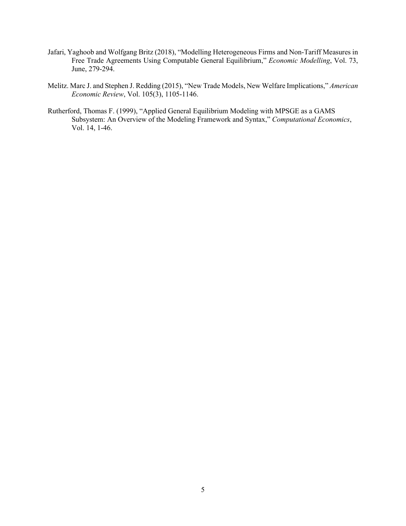- Jafari, Yaghoob and Wolfgang Britz (2018), "Modelling Heterogeneous Firms and Non-Tariff Measures in Free Trade Agreements Using Computable General Equilibrium," *Economic Modelling*, Vol. 73, June, 279-294.
- Melitz. Marc J. and Stephen J. Redding (2015), "New Trade Models, New Welfare Implications," *American Economic Review*, Vol. 105(3), 1105-1146.
- Rutherford, Thomas F. (1999), "Applied General Equilibrium Modeling with MPSGE as a GAMS Subsystem: An Overview of the Modeling Framework and Syntax," *Computational Economics*, Vol. 14, 1-46.